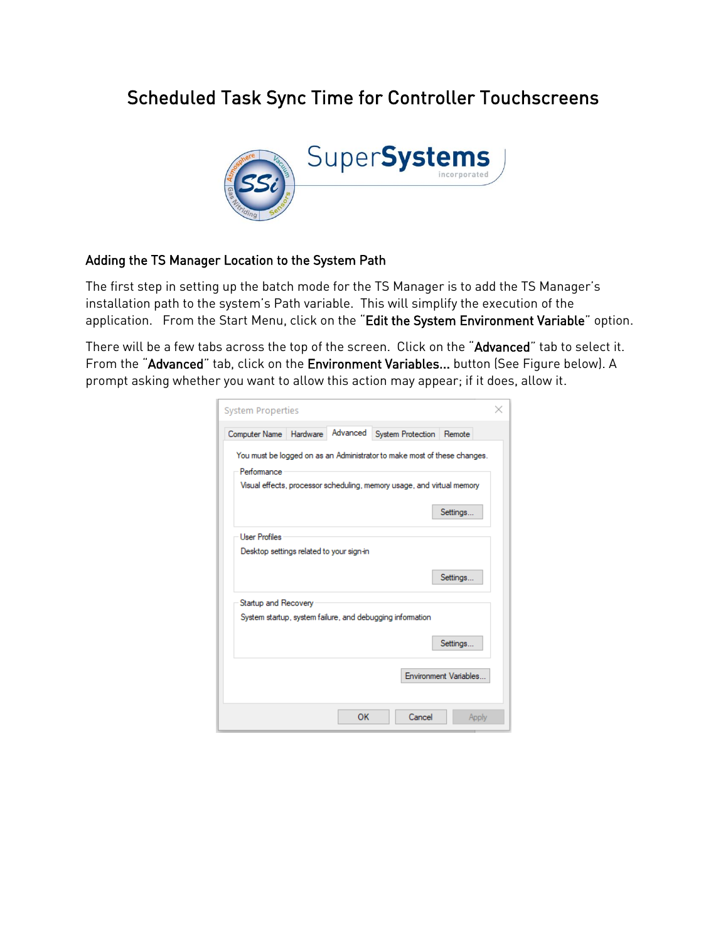# Scheduled Task Sync Time for Controller Touchscreens



#### Adding the TS Manager Location to the System Path

The first step in setting up the batch mode for the TS Manager is to add the TS Manager's installation path to the system's Path variable. This will simplify the execution of the application. From the Start Menu, click on the "Edit the System Environment Variable" option.

There will be a few tabs across the top of the screen. Click on the "Advanced" tab to select it. From the "Advanced" tab, click on the Environment Variables... button (See Figure below). A prompt asking whether you want to allow this action may appear; if it does, allow it.

| System Properties                                                                                                                                                             |  |  |  |  |  |  |  |
|-------------------------------------------------------------------------------------------------------------------------------------------------------------------------------|--|--|--|--|--|--|--|
| Advanced System Protection<br>Hardware<br>Computer Name<br>Remote                                                                                                             |  |  |  |  |  |  |  |
| You must be logged on as an Administrator to make most of these changes.<br>Performance<br>Visual effects, processor scheduling, memory usage, and virtual memory<br>Settings |  |  |  |  |  |  |  |
| <b>User Profiles</b><br>Desktop settings related to your sign-in<br>Settings                                                                                                  |  |  |  |  |  |  |  |
| Startup and Recovery<br>System startup, system failure, and debugging information<br>Settings                                                                                 |  |  |  |  |  |  |  |
| Environment Variables                                                                                                                                                         |  |  |  |  |  |  |  |
| OK<br>Cancel<br>Apply                                                                                                                                                         |  |  |  |  |  |  |  |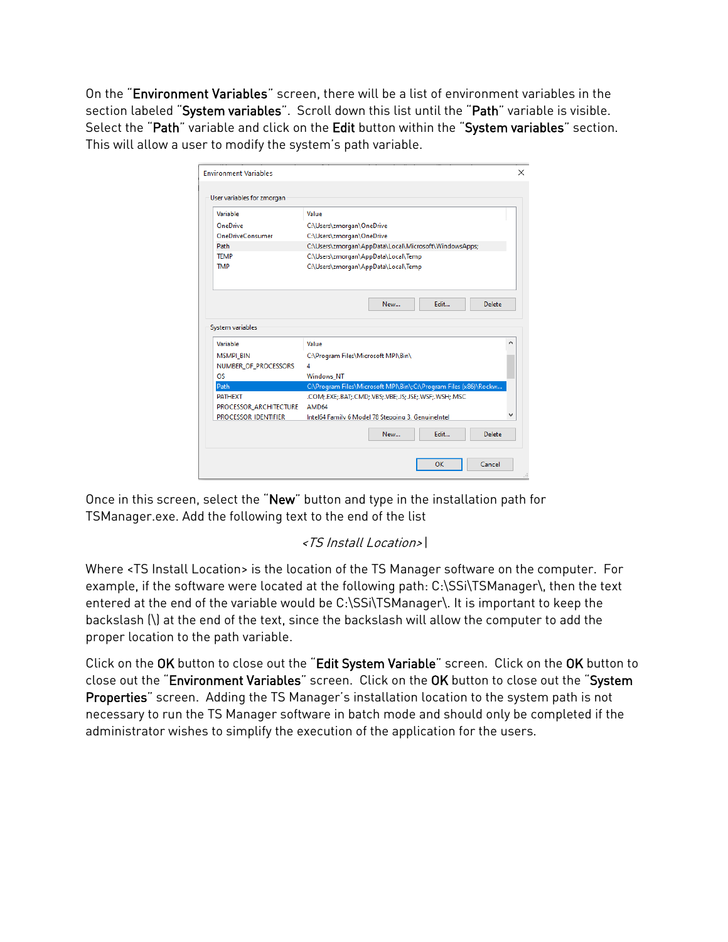On the "Environment Variables" screen, there will be a list of environment variables in the section labeled "System variables". Scroll down this list until the "Path" variable is visible. Select the "Path" variable and click on the Edit button within the "System variables" section. This will allow a user to modify the system's path variable.

| Value                                                            |   |  |  |
|------------------------------------------------------------------|---|--|--|
| C:\Users\zmorgan\OneDrive                                        |   |  |  |
| C:\Users\zmorgan\OneDrive                                        |   |  |  |
| C:\Users\zmorgan\AppData\Local\Microsoft\WindowsApps;            |   |  |  |
| C:\Users\zmorgan\AppData\Local\Temp                              |   |  |  |
| C:\Users\zmorgan\AppData\Local\Temp                              |   |  |  |
| Fdit<br>Delete<br>New                                            |   |  |  |
|                                                                  |   |  |  |
|                                                                  |   |  |  |
| Value                                                            | ^ |  |  |
| C:\Program Files\Microsoft MPI\Bin\                              |   |  |  |
| 4                                                                |   |  |  |
| <b>Windows NT</b>                                                |   |  |  |
| C:\Program Files\Microsoft MPI\Bin\;C:\Program Files (x86)\Rockw |   |  |  |
| .COM:.EXE:.BAT:.CMD:.VBS:.VBE:.JS:.JSE:.WSF:.WSH:.MSC            |   |  |  |
| AMD64                                                            |   |  |  |
| Intel64 Family 6 Model 78 Stepping 3, Genuinelntel               |   |  |  |
|                                                                  |   |  |  |

Once in this screen, select the "New" button and type in the installation path for TSManager.exe. Add the following text to the end of the list

# <TS Install Location>\

Where <TS Install Location> is the location of the TS Manager software on the computer. For example, if the software were located at the following path: C:\SSi\TSManager\, then the text entered at the end of the variable would be C:\SSi\TSManager\. It is important to keep the backslash (\) at the end of the text, since the backslash will allow the computer to add the proper location to the path variable.

Click on the OK button to close out the "Edit System Variable" screen. Click on the OK button to close out the "Environment Variables" screen. Click on the OK button to close out the "System Properties" screen. Adding the TS Manager's installation location to the system path is not necessary to run the TS Manager software in batch mode and should only be completed if the administrator wishes to simplify the execution of the application for the users.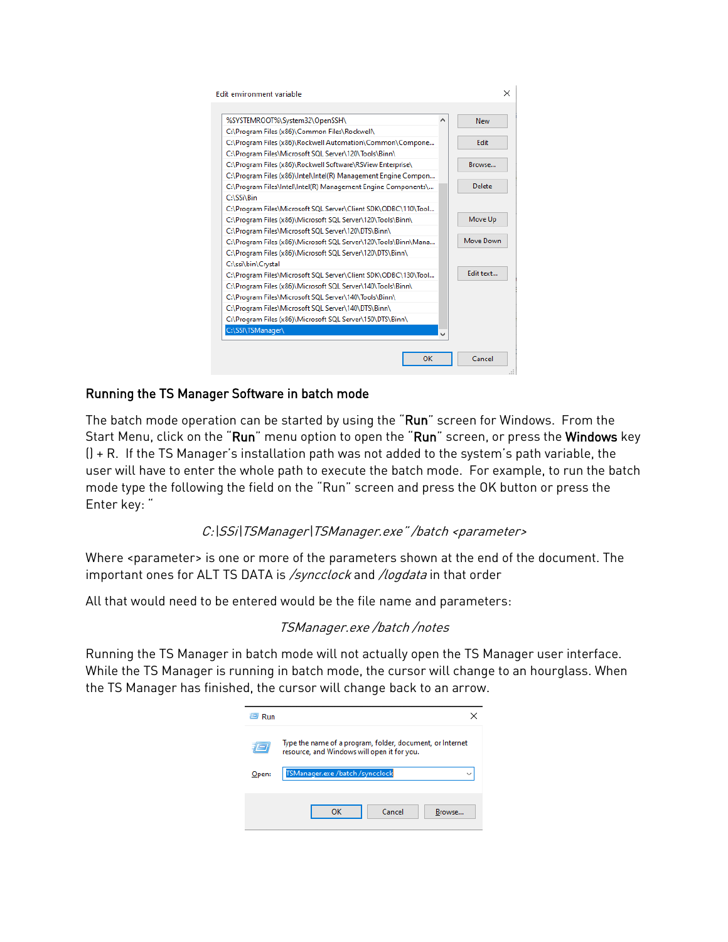| %SYSTEMROOT%\System32\OpenSSH\                                  | ۸ | New       |
|-----------------------------------------------------------------|---|-----------|
| C:\Program Files (x86)\Common Files\Rockwell\                   |   |           |
| C:\Program Files (x86)\Rockwell Automation\Common\Compone       |   | Edit      |
| C:\Program Files\Microsoft SQL Server\120\Tools\Binn\           |   |           |
| C:\Program Files (x86)\Rockwell Software\RSView Enterprise\     |   | Browse    |
| C:\Program Files (x86)\Intel\Intel(R) Management Engine Compon  |   |           |
| C:\Program Files\Intel\Intel(R) Management Engine Components\   |   | Delete    |
| C:\SSi\Bin                                                      |   |           |
| C:\Program Files\Microsoft SQL Server\Client SDK\ODBC\110\Tool  |   |           |
| C:\Program Files (x86)\Microsoft SQL Server\120\Tools\Binn\     |   | Move Up   |
| C:\Program Files\Microsoft SQL Server\120\DTS\Binn\             |   |           |
| C:\Program Files (x86)\Microsoft SQL Server\120\Tools\Binn\Mana |   | Move Down |
| C:\Program Files (x86)\Microsoft SQL Server\120\DTS\Binn\       |   |           |
| C:\ssi\bin\Crystal                                              |   |           |
| C:\Program Files\Microsoft SQL Server\Client SDK\ODBC\130\Tool  |   | Fdit text |
| C:\Program Files (x86)\Microsoft SQL Server\140\Tools\Binn\     |   |           |
| C:\Program Files\Microsoft SQL Server\140\Tools\Binn\           |   |           |
| C:\Program Files\Microsoft SQL Server\140\DTS\Binn\             |   |           |
| C:\Program Files (x86)\Microsoft SQL Server\150\DTS\Binn\       |   |           |
| C:\SSI\TSManager\                                               |   |           |

## Running the TS Manager Software in batch mode

The batch mode operation can be started by using the "Run" screen for Windows. From the Start Menu, click on the "Run" menu option to open the "Run" screen, or press the Windows key  $() + R$ . If the TS Manager's installation path was not added to the system's path variable, the user will have to enter the whole path to execute the batch mode. For example, to run the batch mode type the following the field on the "Run" screen and press the OK button or press the Enter key: "

### C:\SSi\TSManager\TSManager.exe" /batch <parameter>

Where <parameter> is one or more of the parameters shown at the end of the document. The important ones for ALT TS DATA is /syncclock and /logdata in that order

All that would need to be entered would be the file name and parameters:

### TSManager.exe /batch /notes

Running the TS Manager in batch mode will not actually open the TS Manager user interface. While the TS Manager is running in batch mode, the cursor will change to an hourglass. When the TS Manager has finished, the cursor will change back to an arrow.

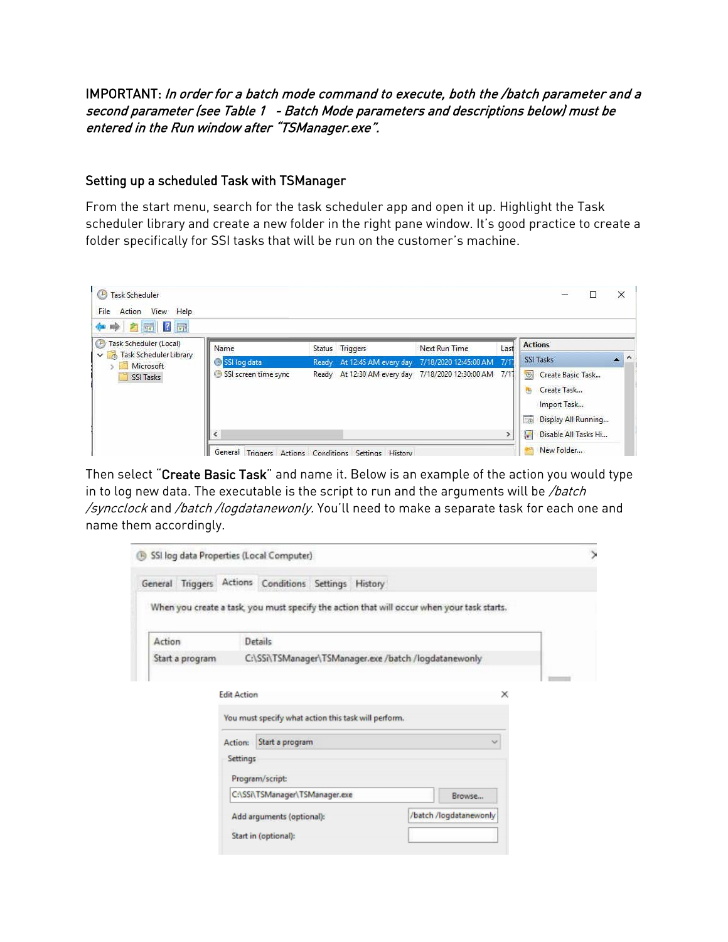### IMPORTANT: In order for a batch mode command to execute, both the /batch parameter and a second parameter (see Table 1 - Batch Mode parameters and descriptions below) must be entered in the Run window after "TSManager.exe".

#### Setting up a scheduled Task with TSManager

From the start menu, search for the task scheduler app and open it up. Highlight the Task scheduler library and create a new folder in the right pane window. It's good practice to create a folder specifically for SSI tasks that will be run on the customer's machine.

| <b>Task Scheduler</b><br>(19<br>Help<br>File<br>Action<br>View<br>$\mathbb{R}$ $\mathbb{R}$<br>$\overline{u}$<br>吟<br>図<br>÷ |                      |                                              |                                                   |      | X                                                                                                        |
|------------------------------------------------------------------------------------------------------------------------------|----------------------|----------------------------------------------|---------------------------------------------------|------|----------------------------------------------------------------------------------------------------------|
| Task Scheduler (Local)<br>G<br><b>Task Scheduler Library</b><br>$\overline{A}$                                               | Name                 | Status Triggers                              | Next Run Time                                     | Last | <b>Actions</b>                                                                                           |
| Microsoft                                                                                                                    | SSI log data         | Ready At 12:45 AM every day                  | 7/18/2020 12:45:00 AM 7/1                         |      | $\mathbf{A}$ $\mathbf{A}$<br>SSI Tasks                                                                   |
| SSI Tasks                                                                                                                    | SSI screen time sync |                                              | Ready At 12:30 AM every day 7/18/2020 12:30:00 AM | 7/17 | $\bigcirc$<br>Create Basic Task<br>Create Task<br>钩<br>Import Task<br><b>Ligh</b><br>Display All Running |
|                                                                                                                              | $\epsilon$           |                                              |                                                   |      | Disable All Tasks Hi<br>岩                                                                                |
|                                                                                                                              | General              | Triggers Actions Conditions Settings History |                                                   |      | New Folder                                                                                               |

Then select "Create Basic Task" and name it. Below is an example of the action you would type in to log new data. The executable is the script to run and the arguments will be  $/batch$ /syncclock and /batch/logdatanewonly. You'll need to make a separate task for each one and name them accordingly.

| SSI log data Properties (Local Computer) |                    |                                                       |                                                                                            |  |
|------------------------------------------|--------------------|-------------------------------------------------------|--------------------------------------------------------------------------------------------|--|
|                                          |                    | General Triggers Actions Conditions Settings History  |                                                                                            |  |
|                                          |                    |                                                       | When you create a task, you must specify the action that will occur when your task starts. |  |
| Action                                   |                    | Details                                               |                                                                                            |  |
| Start a program                          |                    | C:\SSi\TSManager\TSManager.exe /batch /logdatanewonly |                                                                                            |  |
|                                          | <b>Edit Action</b> |                                                       | ×                                                                                          |  |
|                                          |                    | You must specify what action this task will perform.  |                                                                                            |  |
|                                          | Action:            | Start a program                                       | Ŵ                                                                                          |  |
|                                          | <b>Settings</b>    | Program/script:                                       |                                                                                            |  |
|                                          |                    | C:\SSi\TSManager\TSManager.exe                        | Browse                                                                                     |  |
|                                          |                    | Add arguments (optional):                             | /batch /logdatanewonly                                                                     |  |
|                                          |                    | Start in (optional):                                  |                                                                                            |  |